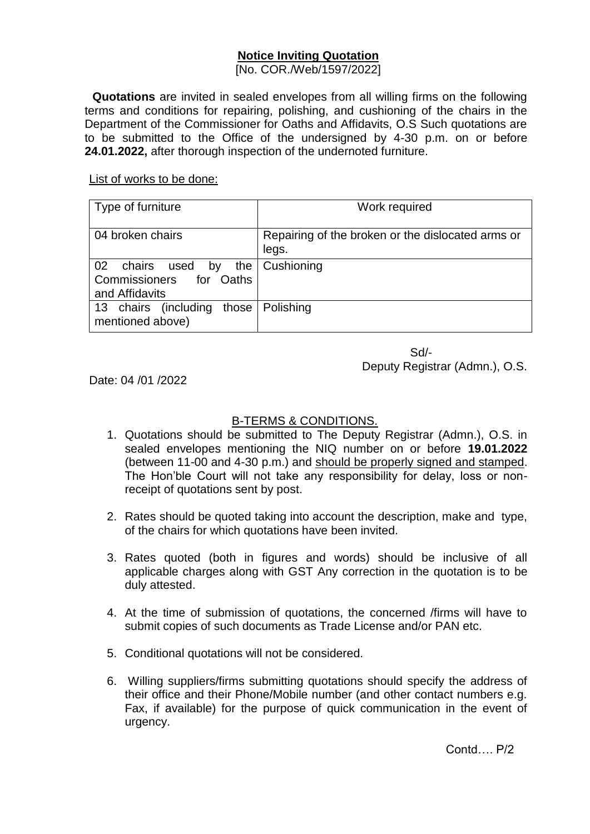## **Notice Inviting Quotation**

[No. COR./Web/1597/2022]

**Quotations** are invited in sealed envelopes from all willing firms on the following terms and conditions for repairing, polishing, and cushioning of the chairs in the Department of the Commissioner for Oaths and Affidavits, O.S Such quotations are to be submitted to the Office of the undersigned by 4-30 p.m. on or before **24.01.2022,** after thorough inspection of the undernoted furniture.

## List of works to be done:

| Type of furniture                                                           | Work required                                              |
|-----------------------------------------------------------------------------|------------------------------------------------------------|
| 04 broken chairs                                                            | Repairing of the broken or the dislocated arms or<br>legs. |
| 02<br>the<br>chairs used<br>by<br>Commissioners for Oaths<br>and Affidavits | Cushioning                                                 |
| 13 chairs (including<br>those<br>mentioned above)                           | Polishing                                                  |

Sd/- Deputy Registrar (Admn.), O.S.

Date: 04 /01 /2022

## B-TERMS & CONDITIONS.

- 1. Quotations should be submitted to The Deputy Registrar (Admn.), O.S. in sealed envelopes mentioning the NIQ number on or before **19.01.2022** (between 11-00 and 4-30 p.m.) and should be properly signed and stamped. The Hon'ble Court will not take any responsibility for delay, loss or nonreceipt of quotations sent by post.
- 2. Rates should be quoted taking into account the description, make and type, of the chairs for which quotations have been invited.
- 3. Rates quoted (both in figures and words) should be inclusive of all applicable charges along with GST Any correction in the quotation is to be duly attested.
- 4. At the time of submission of quotations, the concerned /firms will have to submit copies of such documents as Trade License and/or PAN etc.
- 5. Conditional quotations will not be considered.
- 6. Willing suppliers/firms submitting quotations should specify the address of their office and their Phone/Mobile number (and other contact numbers e.g. Fax, if available) for the purpose of quick communication in the event of urgency.

Contd…. P/2